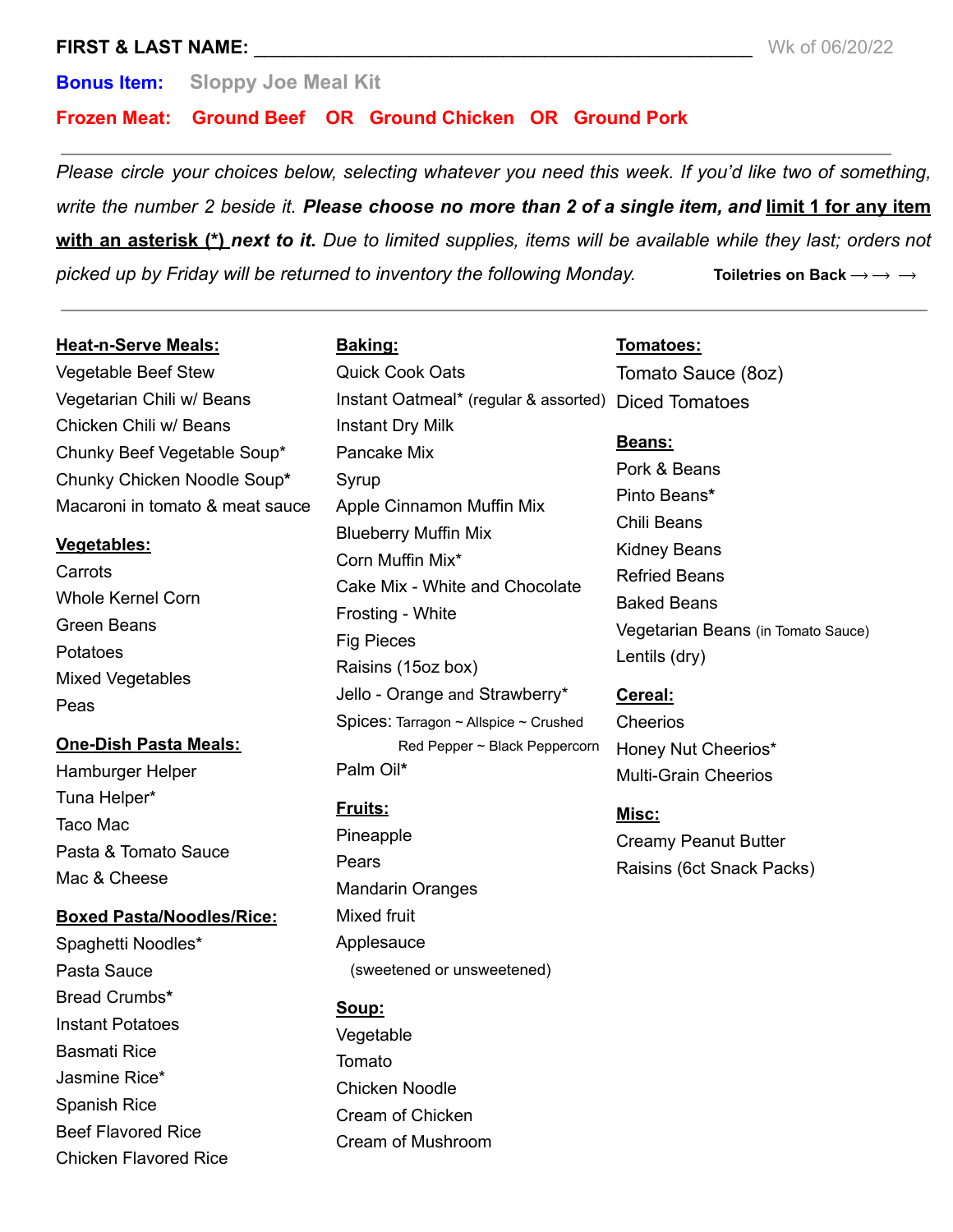### **FIRST & LAST NAME:**  $\blacksquare$

**Bonus Item: Sloppy Joe Meal Kit**

**Frozen Meat: Ground Beef OR Ground Chicken OR Ground Pork**

*Please circle your choices below, selecting whatever you need this week. If you'd like two of something,* write the number 2 beside it. Please choose no more than 2 of a single item, and limit 1 for any item with an asterisk (\*) next to it. Due to limited supplies, items will be available while they last; orders not *picked up by Friday will be returned to inventory the following Monday.* **Toiletries on Back**  $\rightarrow \rightarrow \rightarrow$ 

#### **Heat-n-Serve Meals:**

Vegetable Beef Stew Vegetarian Chili w/ Beans Chicken Chili w/ Beans Chunky Beef Vegetable Soup\* Chunky Chicken Noodle Soup**\*** Macaroni in tomato & meat sauce

#### **Vegetables:**

Carrots Whole Kernel Corn Green Beans Potatoes Mixed Vegetables Peas

## **One-Dish Pasta Meals:**

Hamburger Helper Tuna Helper\* Taco Mac Pasta & Tomato Sauce Mac & Cheese

**Boxed Pasta/Noodles/Rice:**

Spaghetti Noodles\* Pasta Sauce Bread Crumbs**\*** Instant Potatoes Basmati Rice Jasmine Rice\* Spanish Rice Beef Flavored Rice Chicken Flavored Rice

# **Baking:**

Quick Cook Oats Instant Oatmeal\* (regular & assorted) Diced Tomatoes Instant Dry Milk Pancake Mix Syrup Apple Cinnamon Muffin Mix Blueberry Muffin Mix Corn Muffin Mix\* Cake Mix - White and Chocolate Frosting - White Fig Pieces Raisins (15oz box) Jello - Orange and Strawberry\* Spices: Tarragon ~ Allspice ~ Crushed Red Pepper ~ Black Peppercorn Palm Oil**\***

## **Fruits:**

Pineapple Pears Mandarin Oranges Mixed fruit Applesauce (sweetened or unsweetened)

## **Soup:**

Vegetable Tomato Chicken Noodle Cream of Chicken Cream of Mushroom

#### **Tomatoes:**

Tomato Sauce (8oz)

#### **Beans:**

Pork & Beans Pinto Beans**\*** Chili Beans Kidney Beans Refried Beans Baked Beans Vegetarian Beans (in Tomato Sauce) Lentils (dry)

#### **Cereal:**

Cheerios Honey Nut Cheerios\* Multi-Grain Cheerios

# **Misc:**

Creamy Peanut Butter Raisins (6ct Snack Packs)